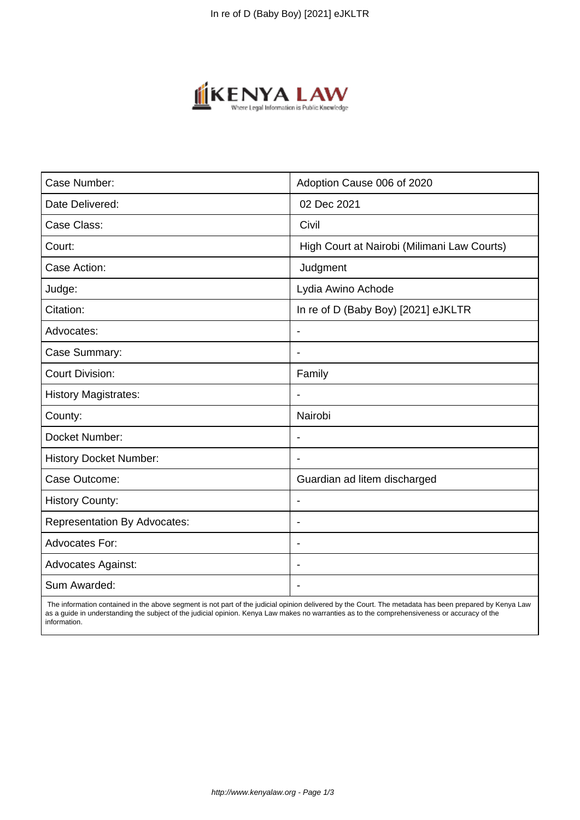

| Case Number:                        | Adoption Cause 006 of 2020                  |
|-------------------------------------|---------------------------------------------|
| Date Delivered:                     | 02 Dec 2021                                 |
| Case Class:                         | Civil                                       |
| Court:                              | High Court at Nairobi (Milimani Law Courts) |
| Case Action:                        | Judgment                                    |
| Judge:                              | Lydia Awino Achode                          |
| Citation:                           | In re of D (Baby Boy) [2021] eJKLTR         |
| Advocates:                          | $\blacksquare$                              |
| Case Summary:                       |                                             |
| <b>Court Division:</b>              | Family                                      |
| <b>History Magistrates:</b>         |                                             |
| County:                             | Nairobi                                     |
| Docket Number:                      |                                             |
| <b>History Docket Number:</b>       |                                             |
| Case Outcome:                       | Guardian ad litem discharged                |
| <b>History County:</b>              |                                             |
| <b>Representation By Advocates:</b> | $\overline{\phantom{a}}$                    |
| Advocates For:                      | ÷.                                          |
| <b>Advocates Against:</b>           |                                             |
| Sum Awarded:                        |                                             |

 The information contained in the above segment is not part of the judicial opinion delivered by the Court. The metadata has been prepared by Kenya Law as a guide in understanding the subject of the judicial opinion. Kenya Law makes no warranties as to the comprehensiveness or accuracy of the information.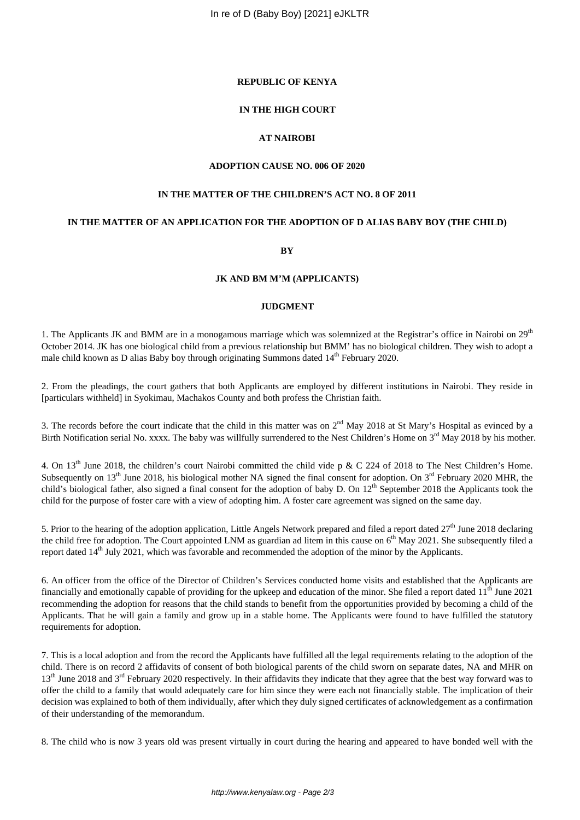## **REPUBLIC OF KENYA**

## **IN THE HIGH COURT**

## **AT NAIROBI**

## **ADOPTION CAUSE NO. 006 OF 2020**

### **IN THE MATTER OF THE CHILDREN'S ACT NO. 8 OF 2011**

## **IN THE MATTER OF AN APPLICATION FOR THE ADOPTION OF D ALIAS BABY BOY (THE CHILD)**

**BY**

#### **JK AND BM M'M (APPLICANTS)**

## **JUDGMENT**

1. The Applicants JK and BMM are in a monogamous marriage which was solemnized at the Registrar's office in Nairobi on 29<sup>th</sup> October 2014. JK has one biological child from a previous relationship but BMM' has no biological children. They wish to adopt a male child known as D alias Baby boy through originating Summons dated 14<sup>th</sup> February 2020.

2. From the pleadings, the court gathers that both Applicants are employed by different institutions in Nairobi. They reside in [particulars withheld] in Syokimau, Machakos County and both profess the Christian faith.

3. The records before the court indicate that the child in this matter was on  $2<sup>nd</sup>$  May 2018 at St Mary's Hospital as evinced by a Birth Notification serial No. xxxx. The baby was willfully surrendered to the Nest Children's Home on  $3<sup>rd</sup>$  May 2018 by his mother.

4. On 13<sup>th</sup> June 2018, the children's court Nairobi committed the child vide p & C 224 of 2018 to The Nest Children's Home. Subsequently on  $13<sup>th</sup>$  June 2018, his biological mother NA signed the final consent for adoption. On  $3<sup>rd</sup>$  February 2020 MHR, the child's biological father, also signed a final consent for the adoption of baby D. On 12<sup>th</sup> September 2018 the Applicants took the child for the purpose of foster care with a view of adopting him. A foster care agreement was signed on the same day.

5. Prior to the hearing of the adoption application, Little Angels Network prepared and filed a report dated  $27<sup>th</sup>$  June 2018 declaring the child free for adoption. The Court appointed LNM as guardian ad litem in this cause on  $6<sup>th</sup>$  May 2021. She subsequently filed a report dated 14th July 2021, which was favorable and recommended the adoption of the minor by the Applicants.

6. An officer from the office of the Director of Children's Services conducted home visits and established that the Applicants are financially and emotionally capable of providing for the upkeep and education of the minor. She filed a report dated  $11<sup>th</sup>$  June 2021 recommending the adoption for reasons that the child stands to benefit from the opportunities provided by becoming a child of the Applicants. That he will gain a family and grow up in a stable home. The Applicants were found to have fulfilled the statutory requirements for adoption.

7. This is a local adoption and from the record the Applicants have fulfilled all the legal requirements relating to the adoption of the child. There is on record 2 affidavits of consent of both biological parents of the child sworn on separate dates, NA and MHR on 13<sup>th</sup> June 2018 and 3<sup>rd</sup> February 2020 respectively. In their affidavits they indicate that they agree that the best way forward was to offer the child to a family that would adequately care for him since they were each not financially stable. The implication of their decision was explained to both of them individually, after which they duly signed certificates of acknowledgement as a confirmation of their understanding of the memorandum.

8. The child who is now 3 years old was present virtually in court during the hearing and appeared to have bonded well with the